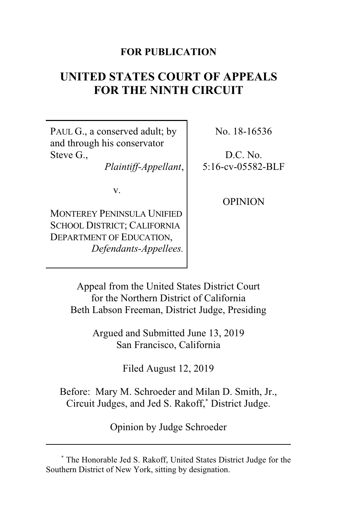## **FOR PUBLICATION**

# **UNITED STATES COURT OF APPEALS FOR THE NINTH CIRCUIT**

PAUL G., a conserved adult; by and through his conservator Steve G.,

*Plaintiff-Appellant*,

No. 18-16536

D.C. No. 5:16-cv-05582-BLF

v.

MONTEREY PENINSULA UNIFIED SCHOOL DISTRICT; CALIFORNIA DEPARTMENT OF EDUCATION, *Defendants-Appellees.* OPINION

Appeal from the United States District Court for the Northern District of California Beth Labson Freeman, District Judge, Presiding

> Argued and Submitted June 13, 2019 San Francisco, California

> > Filed August 12, 2019

Before: Mary M. Schroeder and Milan D. Smith, Jr., Circuit Judges, and Jed S. Rakoff,**\*** District Judge.

Opinion by Judge Schroeder

**<sup>\*</sup>** The Honorable Jed S. Rakoff, United States District Judge for the Southern District of New York, sitting by designation.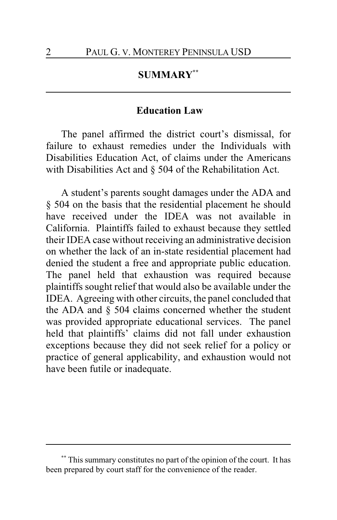## **SUMMARY\*\***

#### **Education Law**

The panel affirmed the district court's dismissal, for failure to exhaust remedies under the Individuals with Disabilities Education Act, of claims under the Americans with Disabilities Act and § 504 of the Rehabilitation Act.

A student's parents sought damages under the ADA and § 504 on the basis that the residential placement he should have received under the IDEA was not available in California. Plaintiffs failed to exhaust because they settled their IDEA case without receiving an administrative decision on whether the lack of an in-state residential placement had denied the student a free and appropriate public education. The panel held that exhaustion was required because plaintiffs sought relief that would also be available under the IDEA. Agreeing with other circuits, the panel concluded that the ADA and  $\S$  504 claims concerned whether the student was provided appropriate educational services. The panel held that plaintiffs' claims did not fall under exhaustion exceptions because they did not seek relief for a policy or practice of general applicability, and exhaustion would not have been futile or inadequate.

**<sup>\*\*</sup>** This summary constitutes no part of the opinion of the court. It has been prepared by court staff for the convenience of the reader.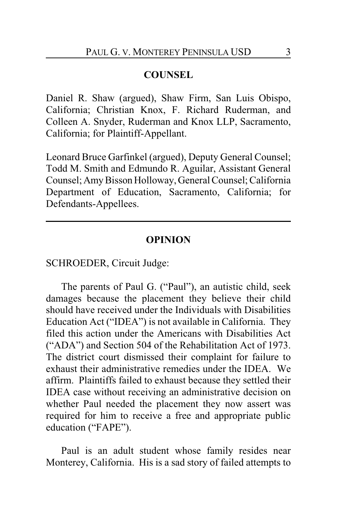#### **COUNSEL**

Daniel R. Shaw (argued), Shaw Firm, San Luis Obispo, California; Christian Knox, F. Richard Ruderman, and Colleen A. Snyder, Ruderman and Knox LLP, Sacramento, California; for Plaintiff-Appellant.

Leonard Bruce Garfinkel (argued), Deputy General Counsel; Todd M. Smith and Edmundo R. Aguilar, Assistant General Counsel; AmyBisson Holloway, General Counsel; California Department of Education, Sacramento, California; for Defendants-Appellees.

#### **OPINION**

SCHROEDER, Circuit Judge:

The parents of Paul G. ("Paul"), an autistic child, seek damages because the placement they believe their child should have received under the Individuals with Disabilities Education Act ("IDEA") is not available in California. They filed this action under the Americans with Disabilities Act ("ADA") and Section 504 of the Rehabilitation Act of 1973. The district court dismissed their complaint for failure to exhaust their administrative remedies under the IDEA. We affirm. Plaintiffs failed to exhaust because they settled their IDEA case without receiving an administrative decision on whether Paul needed the placement they now assert was required for him to receive a free and appropriate public education ("FAPE").

Paul is an adult student whose family resides near Monterey, California. His is a sad story of failed attempts to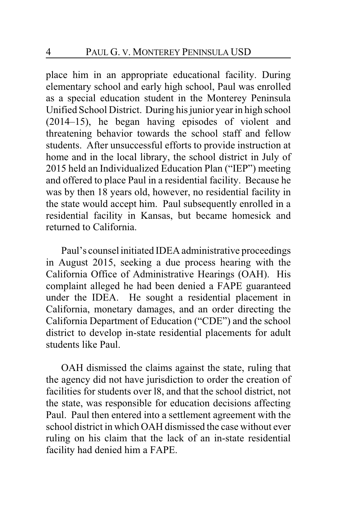place him in an appropriate educational facility. During elementary school and early high school, Paul was enrolled as a special education student in the Monterey Peninsula Unified School District. During his junior year in high school (2014–15), he began having episodes of violent and threatening behavior towards the school staff and fellow students. After unsuccessful efforts to provide instruction at home and in the local library, the school district in July of 2015 held an Individualized Education Plan ("IEP") meeting and offered to place Paul in a residential facility. Because he was by then 18 years old, however, no residential facility in the state would accept him. Paul subsequently enrolled in a residential facility in Kansas, but became homesick and returned to California.

Paul's counsel initiated IDEA administrative proceedings in August 2015, seeking a due process hearing with the California Office of Administrative Hearings (OAH). His complaint alleged he had been denied a FAPE guaranteed under the IDEA. He sought a residential placement in California, monetary damages, and an order directing the California Department of Education ("CDE") and the school district to develop in-state residential placements for adult students like Paul.

OAH dismissed the claims against the state, ruling that the agency did not have jurisdiction to order the creation of facilities for students over l8, and that the school district, not the state, was responsible for education decisions affecting Paul. Paul then entered into a settlement agreement with the school district in which OAH dismissed the case without ever ruling on his claim that the lack of an in-state residential facility had denied him a FAPE.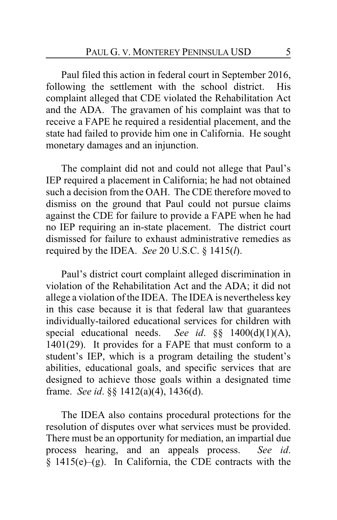Paul filed this action in federal court in September 2016, following the settlement with the school district. His complaint alleged that CDE violated the Rehabilitation Act and the ADA. The gravamen of his complaint was that to receive a FAPE he required a residential placement, and the state had failed to provide him one in California. He sought monetary damages and an injunction.

The complaint did not and could not allege that Paul's IEP required a placement in California; he had not obtained such a decision from the OAH. The CDE therefore moved to dismiss on the ground that Paul could not pursue claims against the CDE for failure to provide a FAPE when he had no IEP requiring an in-state placement. The district court dismissed for failure to exhaust administrative remedies as required by the IDEA. *See* 20 U.S.C. § 1415(*l*).

Paul's district court complaint alleged discrimination in violation of the Rehabilitation Act and the ADA; it did not allege a violation of the IDEA. The IDEA is nevertheless key in this case because it is that federal law that guarantees individually-tailored educational services for children with special educational needs. *See id*. §§ 1400(d)(1)(A), 1401(29). It provides for a FAPE that must conform to a student's IEP, which is a program detailing the student's abilities, educational goals, and specific services that are designed to achieve those goals within a designated time frame. *See id*. §§ 1412(a)(4), 1436(d).

The IDEA also contains procedural protections for the resolution of disputes over what services must be provided. There must be an opportunity for mediation, an impartial due process hearing, and an appeals process. *See id*.  $§$  1415(e)–(g). In California, the CDE contracts with the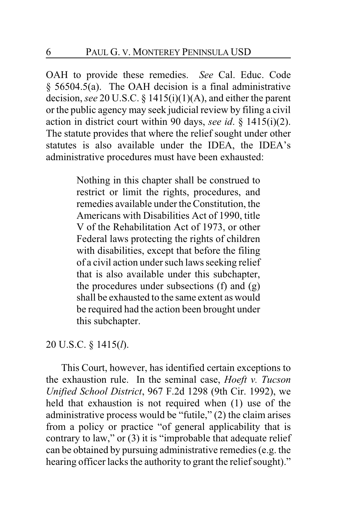OAH to provide these remedies. *See* Cal. Educ. Code § 56504.5(a). The OAH decision is a final administrative decision, *see* 20 U.S.C. § 1415(i)(1)(A), and either the parent or the public agency may seek judicial review by filing a civil action in district court within 90 days, *see id*. § 1415(i)(2). The statute provides that where the relief sought under other statutes is also available under the IDEA, the IDEA's administrative procedures must have been exhausted:

> Nothing in this chapter shall be construed to restrict or limit the rights, procedures, and remedies available under the Constitution, the Americans with Disabilities Act of 1990, title V of the Rehabilitation Act of 1973, or other Federal laws protecting the rights of children with disabilities, except that before the filing of a civil action under such laws seeking relief that is also available under this subchapter, the procedures under subsections  $(f)$  and  $(g)$ shall be exhausted to the same extent as would be required had the action been brought under this subchapter.

## 20 U.S.C. § 1415(*l*).

This Court, however, has identified certain exceptions to the exhaustion rule. In the seminal case, *Hoeft v. Tucson Unified School District*, 967 F.2d 1298 (9th Cir. 1992), we held that exhaustion is not required when (1) use of the administrative process would be "futile," (2) the claim arises from a policy or practice "of general applicability that is contrary to law," or (3) it is "improbable that adequate relief can be obtained by pursuing administrative remedies (e.g. the hearing officer lacks the authority to grant the relief sought)."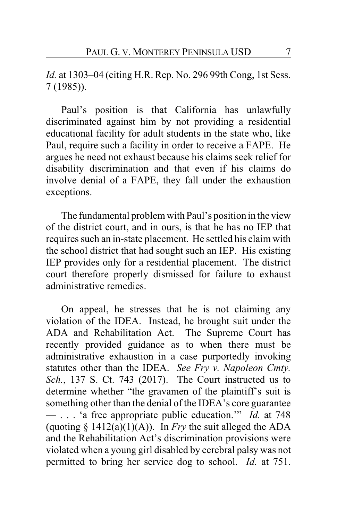*Id.* at 1303–04 (citing H.R. Rep. No. 296 99th Cong, 1st Sess. 7 (1985)).

Paul's position is that California has unlawfully discriminated against him by not providing a residential educational facility for adult students in the state who, like Paul, require such a facility in order to receive a FAPE. He argues he need not exhaust because his claims seek relief for disability discrimination and that even if his claims do involve denial of a FAPE, they fall under the exhaustion exceptions.

The fundamental problemwith Paul's position in the view of the district court, and in ours, is that he has no IEP that requires such an in-state placement. He settled his claim with the school district that had sought such an IEP. His existing IEP provides only for a residential placement. The district court therefore properly dismissed for failure to exhaust administrative remedies.

On appeal, he stresses that he is not claiming any violation of the IDEA. Instead, he brought suit under the ADA and Rehabilitation Act. The Supreme Court has recently provided guidance as to when there must be administrative exhaustion in a case purportedly invoking statutes other than the IDEA. *See Fry v. Napoleon Cmty. Sch.*, 137 S. Ct. 743 (2017). The Court instructed us to determine whether "the gravamen of the plaintiff's suit is something other than the denial of the IDEA's core guarantee — . . . 'a free appropriate public education.'" *Id.* at 748 (quoting  $\S$  1412(a)(1)(A)). In *Fry* the suit alleged the ADA and the Rehabilitation Act's discrimination provisions were violated when a young girl disabled by cerebral palsy was not permitted to bring her service dog to school. *Id.* at 751.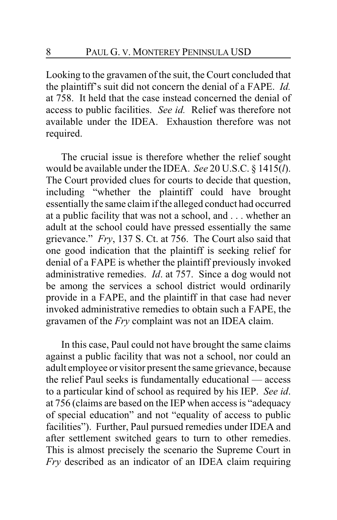Looking to the gravamen of the suit, the Court concluded that the plaintiff's suit did not concern the denial of a FAPE. *Id.* at 758. It held that the case instead concerned the denial of access to public facilities. *See id.* Relief was therefore not available under the IDEA. Exhaustion therefore was not required.

The crucial issue is therefore whether the relief sought would be available under the IDEA. *See* 20 U.S.C. § 1415(*l*). The Court provided clues for courts to decide that question, including "whether the plaintiff could have brought essentially the same claimif the alleged conduct had occurred at a public facility that was not a school, and . . . whether an adult at the school could have pressed essentially the same grievance." *Fry*, 137 S. Ct. at 756. The Court also said that one good indication that the plaintiff is seeking relief for denial of a FAPE is whether the plaintiff previously invoked administrative remedies. *Id*. at 757. Since a dog would not be among the services a school district would ordinarily provide in a FAPE, and the plaintiff in that case had never invoked administrative remedies to obtain such a FAPE, the gravamen of the *Fry* complaint was not an IDEA claim.

In this case, Paul could not have brought the same claims against a public facility that was not a school, nor could an adult employee or visitor present the same grievance, because the relief Paul seeks is fundamentally educational — access to a particular kind of school as required by his IEP. *See id*. at 756 (claims are based on the IEP when access is "adequacy of special education" and not "equality of access to public facilities"). Further, Paul pursued remedies under IDEA and after settlement switched gears to turn to other remedies. This is almost precisely the scenario the Supreme Court in *Fry* described as an indicator of an IDEA claim requiring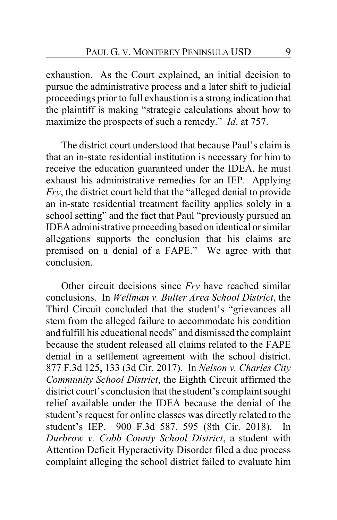exhaustion. As the Court explained, an initial decision to pursue the administrative process and a later shift to judicial proceedings prior to full exhaustion is a strong indication that the plaintiff is making "strategic calculations about how to maximize the prospects of such a remedy." *Id*. at 757.

The district court understood that because Paul's claim is that an in-state residential institution is necessary for him to receive the education guaranteed under the IDEA, he must exhaust his administrative remedies for an IEP. Applying *Fry*, the district court held that the "alleged denial to provide an in-state residential treatment facility applies solely in a school setting" and the fact that Paul "previously pursued an IDEA administrative proceeding based on identical or similar allegations supports the conclusion that his claims are premised on a denial of a FAPE." We agree with that conclusion.

Other circuit decisions since *Fry* have reached similar conclusions. In *Wellman v. Bulter Area School District*, the Third Circuit concluded that the student's "grievances all stem from the alleged failure to accommodate his condition and fulfill his educational needs" and dismissed the complaint because the student released all claims related to the FAPE denial in a settlement agreement with the school district. 877 F.3d 125, 133 (3d Cir. 2017). In *Nelson v. Charles City Community School District*, the Eighth Circuit affirmed the district court's conclusion that the student's complaint sought relief available under the IDEA because the denial of the student's request for online classes was directly related to the student's IEP. 900 F.3d 587, 595 (8th Cir. 2018). In *Durbrow v. Cobb County School District*, a student with Attention Deficit Hyperactivity Disorder filed a due process complaint alleging the school district failed to evaluate him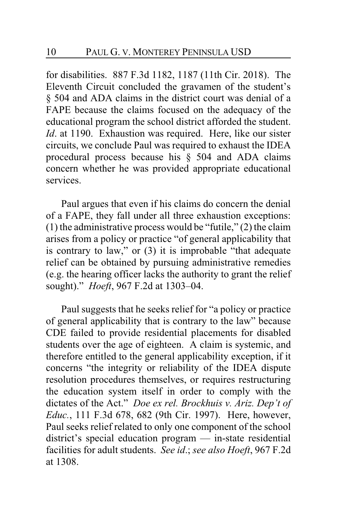for disabilities. 887 F.3d 1182, 1187 (11th Cir. 2018). The Eleventh Circuit concluded the gravamen of the student's § 504 and ADA claims in the district court was denial of a FAPE because the claims focused on the adequacy of the educational program the school district afforded the student. *Id*. at 1190. Exhaustion was required. Here, like our sister circuits, we conclude Paul was required to exhaust the IDEA procedural process because his § 504 and ADA claims concern whether he was provided appropriate educational services.

Paul argues that even if his claims do concern the denial of a FAPE, they fall under all three exhaustion exceptions: (1) the administrative process would be "futile," (2) the claim arises from a policy or practice "of general applicability that is contrary to law," or (3) it is improbable "that adequate relief can be obtained by pursuing administrative remedies (e.g. the hearing officer lacks the authority to grant the relief sought)." *Hoeft*, 967 F.2d at 1303–04.

Paul suggests that he seeks relief for "a policy or practice of general applicability that is contrary to the law" because CDE failed to provide residential placements for disabled students over the age of eighteen. A claim is systemic, and therefore entitled to the general applicability exception, if it concerns "the integrity or reliability of the IDEA dispute resolution procedures themselves, or requires restructuring the education system itself in order to comply with the dictates of the Act." *Doe ex rel. Brockhuis v. Ariz. Dep't of Educ.*, 111 F.3d 678, 682 (9th Cir. 1997). Here, however, Paul seeks relief related to only one component of the school district's special education program — in-state residential facilities for adult students. *See id*.; *see also Hoeft*, 967 F.2d at 1308.